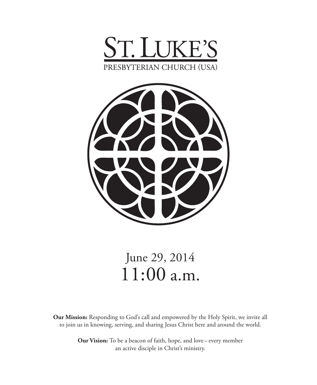



# June 29, 2014 11:00 a.m.

**Our Mission:** Responding to God's call and empowered by the Holy Spirit, we invite all to join us in knowing, serving, and sharing Jesus Christ here and around the world.

> **Our Vision:** To be a beacon of faith, hope, and love – every member an active disciple in Christ's ministry.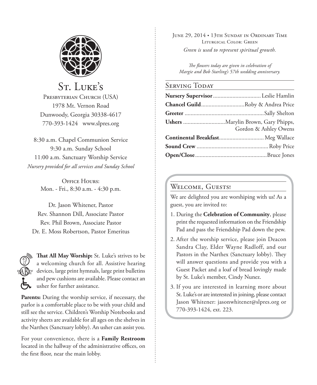

St. LUKE'S PRESBYTERIAN CHURCH (USA) 1978 Mt. Vernon Road Dunwoody, Georgia 30338-4617 770-393-1424 www.slpres.org

8:30 a.m. Chapel Communion Service 9:30 a.m. Sunday School 11:00 a.m. Sanctuary Worship Service *Nursery provided for all services and Sunday School*

> OFFICE HOURS' Mon. - Fri., 8:30 a.m. - 4:30 p.m.

Dr. Jason Whitener, Pastor Rev. Shannon Dill, Associate Pastor Rev. Phil Brown, Associate Pastor Dr. E. Moss Robertson, Pastor Emeritus



**That All May Worship:** St. Luke's strives to be a welcoming church for all. Assistive hearing devices, large print hymnals, large print bulletins and pew cushions are available. Please contact an usher for further assistance.

**Parents:** During the worship service, if necessary, the parlor is a comfortable place to be with your child and still see the service. Children's Worship Notebooks and activity sheets are available for all ages on the shelves in the Narthex (Sanctuary lobby). An usher can assist you.

For your convenience, there is a **Family Restroom** located in the hallway of the administrative offices, on the first floor, near the main lobby.

June 29, 2014 • 13th Sunday in Ordinary Time Liturgical Color: Green *Green is used to represent spiritual growth.* 

*The flowers today are given in celebration of Margie and Bob Starling's 57th wedding anniversary.*

## SERVING TODAY

| Chancel GuildRoby & Andrea Price  |
|-----------------------------------|
|                                   |
| Gordon & Ashley Owens             |
| Continental Breakfast Meg Wallace |
|                                   |
|                                   |

## WELCOME, GUESTS!

We are delighted you are worshiping with us! As a guest, you are invited to:

- 1. During the **Celebration of Community**, please print the requested information on the Friendship Pad and pass the Friendship Pad down the pew.
- 2. After the worship service, please join Deacon Sandra Clay, Elder Wayne Radloff, and our Pastors in the Narthex (Sanctuary lobby). They will answer questions and provide you with a Guest Packet and a loaf of bread lovingly made by St. Luke's member, Cindy Nunez.
- 3. If you are interested in learning more about St. Luke's or are interested in joining, please contact Jason Whitener: jasonwhitener@slpres.org or 770-393-1424, ext. 223.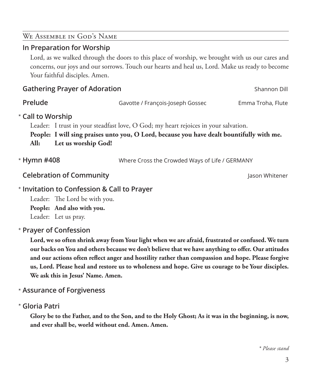#### *\* Please stand*

# Lord, as we walked through the doors to this place of worship, we brought with us our cares and concerns, our joys and our sorrows. Touch our hearts and heal us, Lord. Make us ready to become Your faithful disciples. Amen. **Gathering Prayer of Adoration** Shannon Dill **Prelude** Gavotte / François-Joseph Gossec Emma Troha, Flute **Call to Worship**  \* Leader: I trust in your steadfast love, O God; my heart rejoices in your salvation.

**People: I will sing praises unto you, O Lord, because you have dealt bountifully with me. All: Let us worship God!**

Where Cross the Crowded Ways of Life / GERMANY \* Hymn #408

**Celebration of Community Celebration of Community Jason Whitener** 

We Assemble in God's Name **In Preparation for Worship**

# **Invitation to Confession & Call to Prayer**  \*

Leader: The Lord be with you. **People: And also with you.**

Leader: Let us pray.

# **Prayer of Confession**  \*

 **Lord, we so often shrink away from Your light when we are afraid, frustrated or confused. We turn our backs on You and others because we don't believe that we have anything to offer. Our attitudes and our actions often reflect anger and hostility rather than compassion and hope. Please forgive us, Lord. Please heal and restore us to wholeness and hope. Give us courage to be Your disciples. We ask this in Jesus' Name. Amen.**

**Assurance of Forgiveness** \*

**Gloria Patri** \*

 **Glory be to the Father, and to the Son, and to the Holy Ghost; As it was in the beginning, is now, and ever shall be, world without end. Amen. Amen.**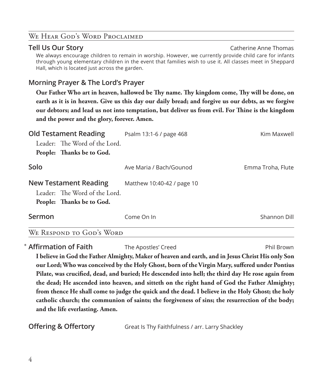## WE HEAR GOD'S WORD PROCLAIMED

# **Tell Us Our Story** Catherine Anne Thomas Catherine Anne Thomas We always encourage children to remain in worship. However, we currently provide child care for infants through young elementary children in the event that families wish to use it. All classes meet in Sheppard Hall, which is located just across the garden.

# **Morning Prayer & The Lord's Prayer**

 **Our Father Who art in heaven, hallowed be Thy name. Thy kingdom come, Thy will be done, on earth as it is in heaven. Give us this day our daily bread; and forgive us our debts, as we forgive our debtors; and lead us not into temptation, but deliver us from evil. For Thine is the kingdom and the power and the glory, forever. Amen.**

| <b>Old Testament Reading</b>                                                               | Psalm 13:1-6 / page 468    | Kim Maxwell       |
|--------------------------------------------------------------------------------------------|----------------------------|-------------------|
| Leader: The Word of the Lord.<br>People: Thanks be to God.                                 |                            |                   |
| Solo                                                                                       | Ave Maria / Bach/Gounod    | Emma Troha, Flute |
| <b>New Testament Reading</b><br>Leader: The Word of the Lord.<br>People: Thanks be to God. | Matthew 10:40-42 / page 10 |                   |
| Sermon                                                                                     | Come On In                 | Shannon Dill      |

## We Respond to God's Word

**Affirmation of Faith** The Apostles' Creed **Phil Brown** Phil Brown  **I believe in God the Father Almighty, Maker of heaven and earth, and in Jesus Christ His only Son our Lord; Who was conceived by the Holy Ghost, born of the Virgin Mary, suffered under Pontius Pilate, was crucified, dead, and buried; He descended into hell; the third day He rose again from the dead; He ascended into heaven, and sitteth on the right hand of God the Father Almighty; from thence He shall come to judge the quick and the dead. I believe in the Holy Ghost; the holy catholic church; the communion of saints; the forgiveness of sins; the resurrection of the body; and the life everlasting. Amen.**

**Offering & Offertory Great Is Thy Faithfulness / arr. Larry Shackley**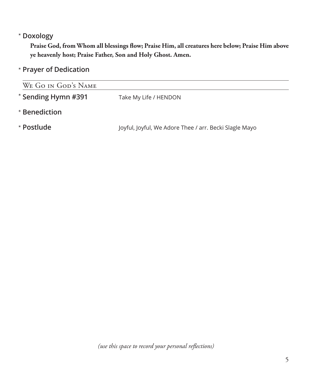# **Doxology** \*

 **Praise God, from Whom all blessings flow; Praise Him, all creatures here below; Praise Him above ye heavenly host; Praise Father, Son and Holy Ghost. Amen.**

**Prayer of Dedication** \*

| WE GO IN GOD'S NAME                          |                                                        |  |  |  |
|----------------------------------------------|--------------------------------------------------------|--|--|--|
| * Sending Hymn #391<br>Take My Life / HENDON |                                                        |  |  |  |
| * Benediction                                |                                                        |  |  |  |
| * Postlude                                   | Joyful, Joyful, We Adore Thee / arr. Becki Slagle Mayo |  |  |  |
|                                              |                                                        |  |  |  |

*(use this space to record your personal reflections)*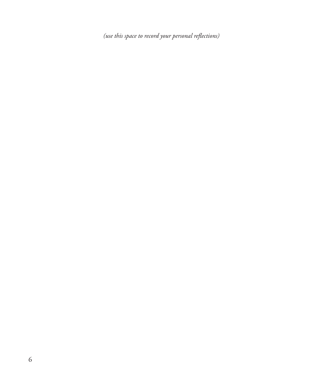*(use this space to record your personal reflections)*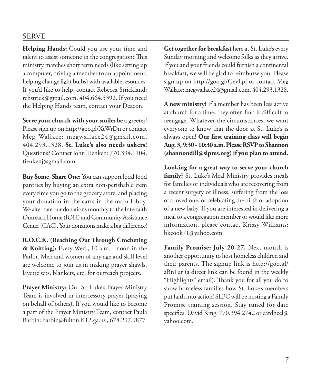# SERVE

**Helping Hands:** Could you use your time and talent to assist someone in the congregation? This ministry matches short term needs (like setting up a computer, driving a member to an appointment, helping change light bulbs) with available resources. If you'd like to help, contact Rebecca Strickland: rebstrick@gmail.com, 404.664.5392. If you need the Helping Hands team, contact your Deacon.

**Serve your church with your smile:** be a greeter! Please sign up on http://goo.gl/XtWrDn or contact Meg Wallace: megwallace24@gmail.com, 404.293.1328. **St. Luke's also needs ushers!** Questions? Contact John Tienken: 770.394.1104, tienkenj@gmail.com.

**Buy Some, Share One:** You can support local food pantries by buying an extra non-perishable item every time you go to the grocery store, and placing your donation in the carts in the main lobby. We alternate our donations monthly to the Interfaith Outreach Home (IOH) and Community Assistance Center (CAC). Your donations make a big difference!

**R.O.C.K. (Reaching Out Through Crocheting & Knitting):** Every Wed., 10 a.m. - noon in the Parlor. Men and women of any age and skill level are welcome to join us in making prayer shawls, layette sets, blankets, etc. for outreach projects.

**Prayer Ministry:** Our St. Luke's Prayer Ministry Team is involved in intercessory prayer (praying on behalf of others). If you would like to become a part of the Prayer Ministry Team, contact Paula Barbin: barbin@fulton.K12.ga.us , 678.297.9877.

**Get together for breakfast** here at St. Luke's every Sunday morning and welcome folks as they arrive. If you and your friends could furnish a continental breakfast, we will be glad to reimburse you. Please sign up on http://goo.gl/GevLpf or contact Meg Wallace: megwallace24@gmail.com, 404.293.1328.

**A new ministry!** If a member has been less active at church for a time, they often find it difficult to reengage. Whatever the circumstances, we want everyone to know that the door at St. Luke's is always open! **Our first training class will begin Aug. 3, 9:30 - 10:30 a.m. Please RSVP to Shannon (shannondill@slpres.org) if you plan to attend.**

**Looking for a great way to serve your church family?** St. Luke's Meal Ministry provides meals for families or individuals who are recovering from a recent surgery or illness, suffering from the loss of a loved one, or celebrating the birth or adoption of a new baby. If you are interested in delivering a meal to a congregation member or would like more information, please contact Krissy Williams: bkcook71@yahoo.com.

**Family Promise: July 20-27.** Next month is another opportunity to host homeless children and their parents. The signup link is http://goo.gl/ aBn1ur (a direct link can be found in the weekly "Highlights" email). Thank you for all you do to show homeless families how St. Luke's members put faith into action! SLPC will be hosting a Family Promise training session. Stay tuned for date specifics. David King: 770.394.2742 or cardheel@ yahoo.com.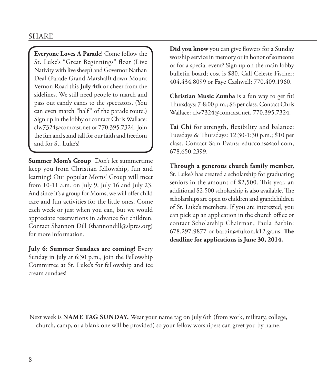## SHARE

**Everyone Loves A Parade**! Come follow the St. Luke's "Great Beginnings" float (Live Nativity with live sheep) and Governor Nathan Deal (Parade Grand Marshall) down Mount Vernon Road this **July 4th** or cheer from the sidelines. We still need people to march and pass out candy canes to the spectators. (You can even march "half" of the parade route.) Sign up in the lobby or contact Chris Wallace: clw7324@comcast.net or 770.395.7324. Join the fun and stand tall for our faith and freedom and for St. Luke's!

**Summer Mom's Group** Don't let summertime keep you from Christian fellowship, fun and learning! Our popular Moms' Group will meet from 10-11 a.m. on July 9, July 16 and July 23. And since it's a group for Moms, we will offer child care and fun activities for the little ones. Come each week or just when you can, but we would appreciate reservations in advance for children. Contact Shannon Dill (shannondill@slpres.org) for more information.

**July 6: Summer Sundaes are coming!** Every Sunday in July at 6:30 p.m., join the Fellowship Committee at St. Luke's for fellowship and ice cream sundaes!

**Did you know** you can give flowers for a Sunday worship service in memory or in honor of someone or for a special event? Sign up on the main lobby bulletin board; cost is \$80. Call Celeste Fischer: 404.434.8099 or Faye Cashwell: 770.409.1960.

**Christian Music Zumba** is a fun way to get fit! Thursdays: 7-8:00 p.m.; \$6 per class. Contact Chris Wallace: clw7324@comcast.net, 770.395.7324.

**Tai Chi** for strength, flexibility and balance: Tuesdays & Thursdays: 12:30-1:30 p.m.; \$10 per class. Contact Sam Evans: educcons@aol.com, 678.650.2399.

**Through a generous church family member,** St. Luke's has created a scholarship for graduating seniors in the amount of \$2,500. This year, an additional \$2,500 scholarship is also available. The scholarships are open to children and grandchildren of St. Luke's members. If you are interested, you can pick up an application in the church office or contact Scholarship Chairman, Paula Barbin: 678.297.9877 or barbin@fulton.k12.ga.us. **The deadline for applications is June 30, 2014.**

Next week is **NAME TAG SUNDAY.** Wear your name tag on July 6th (from work, military, college, church, camp, or a blank one will be provided) so your fellow worshipers can greet you by name.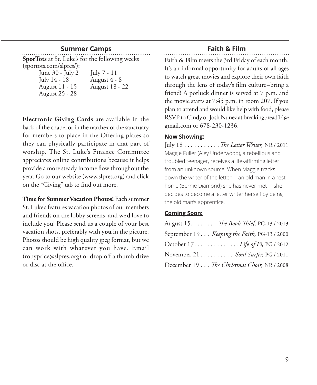## **Summer Camps**

**SporTots** at St. Luke's for the following weeks (sportots.com/slpres/):

> June 30 - July 2 July 7 - 11 July 14 - 18 <br>August 11 - 15 <br>August 18 - 1 August 25 - 28

August 18 - 22

**Electronic Giving Cards** are available in the back of the chapel or in the narthex of the sanctuary for members to place in the Offering plates so they can physically participate in that part of worship. The St. Luke's Finance Committee appreciates online contributions because it helps provide a more steady income flow throughout the year. Go to our website (www.slpres.org) and click on the "Giving" tab to find out more.

**Time for Summer Vacation Photos!** Each summer St. Luke's features vacation photos of our members and friends on the lobby screens, and we'd love to include you! Please send us a couple of your best vacation shots, preferably with **you** in the picture. Photos should be high quality jpeg format, but we can work with whatever you have. Email (robyprice@slpres.org) or drop off a thumb drive or disc at the office.

# **Faith & Film**

Faith & Film meets the 3rd Friday of each month. It's an informal opportunity for adults of all ages to watch great movies and explore their own faith through the lens of today's film culture–bring a friend! A potluck dinner is served at 7 p.m. and the movie starts at 7:45 p.m. in room 207. If you plan to attend and would like help with food, please RSVP to Cindy or Josh Nunez at breakingbread14@ gmail.com or 678-230-1236.

#### **Now Showing:**

July 18. . *The Letter Writer,* NR / 2011 Maggie Fuller (Aley Underwood), a rebellious and troubled teenager, receives a life-affirming letter from an unknown source. When Maggie tracks down the writer of the letter — an old man in a rest home (Bernie Diamond) she has never met — she decides to become a letter writer herself by being the old man's apprentice.

#### **Coming Soon:**

| August 15. The Book Thief, PG-13 / 2013      |
|----------------------------------------------|
| September 19 Keeping the Faith, PG-13 / 2000 |
| October 17. <i>Life of Pi</i> , PG / 2012    |
| November 21 Soul Surfer, PG / 2011           |
| December 19 The Christmas Choir, NR / 2008   |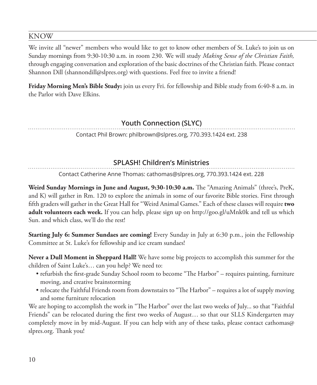## KNOW

We invite all "newer" members who would like to get to know other members of St. Luke's to join us on Sunday mornings from 9:30-10:30 a.m. in room 230. We will study *Making Sense of the Christian Faith,* through engaging conversation and exploration of the basic doctrines of the Christian faith. Please contact Shannon Dill (shannondill@slpres.org) with questions. Feel free to invite a friend!

**Friday Morning Men's Bible Study:** join us every Fri. for fellowship and Bible study from 6:40-8 a.m. in the Parlor with Dave Elkins.

# **Youth Connection (SLYC)**

Contact Phil Brown: philbrown@slpres.org, 770.393.1424 ext. 238

# **SPLASH! Children's Ministries**

Contact Catherine Anne Thomas: cathomas@slpres.org, 770.393.1424 ext. 228

**Weird Sunday Mornings in June and August, 9:30-10:30 a.m.** The "Amazing Animals" (three's, PreK, and K) will gather in Rm. 120 to explore the animals in some of our favorite Bible stories. First through fifth graders will gather in the Great Hall for "Weird Animal Games." Each of these classes will require **two adult volunteers each week.** If you can help, please sign up on http://goo.gl/uMnk0k and tell us which Sun. and which class, we'll do the rest!

**Starting July 6: Summer Sundaes are coming!** Every Sunday in July at 6:30 p.m., join the Fellowship Committee at St. Luke's for fellowship and ice cream sundaes!

**Never a Dull Moment in Sheppard Hall!** We have some big projects to accomplish this summer for the children of Saint Luke's… can you help? We need to:

- refurbish the first-grade Sunday School room to become "The Harbor" requires painting, furniture moving, and creative brainstorming
- relocate the Faithful Friends room from downstairs to "The Harbor" requires a lot of supply moving and some furniture relocation

We are hoping to accomplish the work in "The Harbor" over the last two weeks of July... so that "Faithful Friends" can be relocated during the first two weeks of August… so that our SLLS Kindergarten may completely move in by mid-August. If you can help with any of these tasks, please contact cathomas@ slpres.org. Thank you!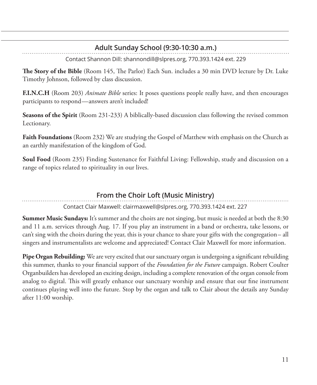# **Adult Sunday School (9:30-10:30 a.m.)**

Contact Shannon Dill: shannondill@slpres.org, 770.393.1424 ext. 229

**The Story of the Bible** (Room 145, The Parlor) Each Sun. includes a 30 min DVD lecture by Dr. Luke Timothy Johnson, followed by class discussion.

**F.I.N.C.H** (Room 203) *Animate Bible* series: It poses questions people really have, and then encourages participants to respond—answers aren't included!

**Seasons of the Spirit** (Room 231-233) A biblically-based discussion class following the revised common Lectionary.

**Faith Foundations** (Room 232) We are studying the Gospel of Matthew with emphasis on the Church as an earthly manifestation of the kingdom of God.

**Soul Food** (Room 235) Finding Sustenance for Faithful Living: Fellowship, study and discussion on a range of topics related to spirituality in our lives.

# **From the Choir Loft (Music Ministry)**

Contact Clair Maxwell: clairmaxwell@slpres.org, 770.393.1424 ext. 227

**Summer Music Sundays:** It's summer and the choirs are not singing, but music is needed at both the 8:30 and 11 a.m. services through Aug. 17. If you play an instrument in a band or orchestra, take lessons, or can't sing with the choirs during the year, this is your chance to share your gifts with the congregation– all singers and instrumentalists are welcome and appreciated! Contact Clair Maxwell for more information.

**Pipe Organ Rebuilding:** We are very excited that our sanctuary organ is undergoing a significant rebuilding this summer, thanks to your financial support of the *Foundation for the Future* campaign. Robert Coulter Organbuilders has developed an exciting design, including a complete renovation of the organ console from analog to digital. This will greatly enhance our sanctuary worship and ensure that our fine instrument continues playing well into the future. Stop by the organ and talk to Clair about the details any Sunday after 11:00 worship.